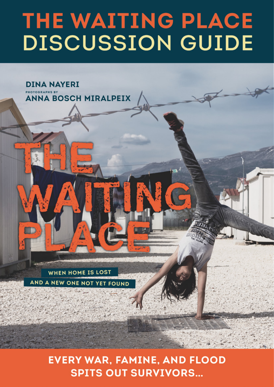# THE WAITING PLACE **DISCUSSION GUIDE**

**WHEN HOME IS LOST** AND A NEW ONE NOT YET FOUND

**DINA NAYERI** 

**ANNA BOSCH MIRALPEIX** 

**PHOTOGRAPHS BY** 

**EVERY WAR, FAMINE, AND FLOOD SPITS OUT SURVIVORS...**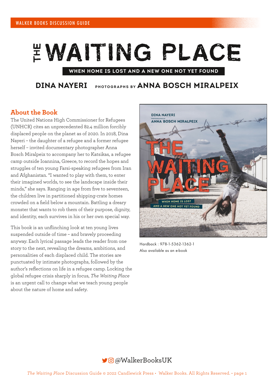# EWAITING PLACE

## **WHEN HOME IS LOST AND A NEW ONE NOT YET FOUND**

**DINA NAYERI PHOTOGRAPHS BY ANNA BOSCH MIRALPEIX**

## **About the Book**

The United Nations High Commissioner for Refugees (UNHCR) cites an unprecedented 82.4 million forcibly displaced people on the planet as of 2020. In 2018, Dina Nayeri – the daughter of a refugee and a former refugee herself – invited documentary photographer Anna Bosch Miralpeix to accompany her to Katsikas, a refugee camp outside Ioannina, Greece, to record the hopes and struggles of ten young Farsi-speaking refugees from Iran and Afghanistan. "I wanted to play with them, to enter their imagined worlds, to see the landscape inside their minds," she says. Ranging in age from five to seventeen, the children live in partitioned shipping-crate homes crowded on a field below a mountain. Battling a dreary monster that wants to rob them of their purpose, dignity, and identity, each survives in his or her own special way.

This book is an unflinching look at ten young lives suspended outside of time – and bravely proceeding anyway. Each lyrical passage leads the reader from one story to the next, revealing the dreams, ambitions, and personalities of each displaced child. The stories are punctuated by intimate photographs, followed by the author's reflections on life in a refugee camp. Locking the global refugee crisis sharply in focus, *The Waiting Place* is an urgent call to change what we teach young people about the nature of home and safety.



Hardback : 978-1-5362-1362-1 Also available as an e-book

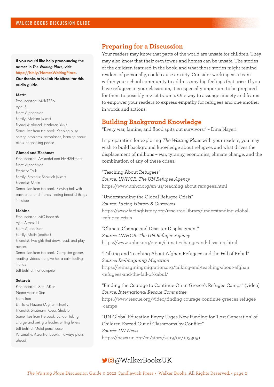#### If you would like help pronouncing the names in *The Waiting Place*, visit https://bit.ly/NamesWaitingPlace.

Our thanks to Neilab Habibzai for this audio guide.

#### **Matin**

Pronunciation: Mah-TEEN Age: 5 From: Afghanistan Family: Mobina (sister) Friend(s): Ahmad, Hashmat, Yusuf Some likes from the book: Keeping busy, solving problems, aeroplanes, learning about pilots, negotiating peace

#### **Ahmad and Hashmat**

Pronunciation: AH-mahd and HAHSH-maht From: Afghanistan Ethnicity: Tajik Family: Brothers; Shokrieh (sister) Friend(s): Matin Some likes from the book: Playing ball with each other and friends, finding beautiful things in nature

#### **Mobina**

Pronunciation: MO-bean-ah Age: Almost 11 From: Afghanistan Family: Matin (brother) Friend(s): Two girls that draw, read, and play aunties Some likes from the book: Computer games, reading, videos that give her a calm feeling, friends Left behind: Her computer

#### **Setareh**

Pronunciation: Seh-TAR-ah Name means: Star From: Iran Ethnicity: Hazara (Afghan minority) Friend(s): Shabnam, Kosar, Shokrieh Some likes from the book: School, taking charge and being a leader, writing letters Left behind: Metal pencil case Personality: Assertive, bookish, always plans ahead

## **Preparing for a Discussion**

Your readers may know that parts of the world are unsafe for children. They may also know that their own towns and homes can be unsafe. The stories of the children featured in the book, and what those stories might remind readers of personally, could cause anxiety. Consider working as a team within your school community to address any big feelings that arise. If you have refugees in your classroom, it is especially important to be prepared for them to possibly revisit trauma. One way to assuage anxiety and fear is to empower your readers to express empathy for refugees and one another in words and actions.

# **Building Background Knowledge**

"Every war, famine, and flood spits out survivors." – Dina Nayeri

In preparation for exploring *The Waiting Place* with your readers, you may wish to build background knowledge about refugees and what drives the displacement of millions – war, tyranny, economics, climate change, and the combination of any of these crises.

"Teaching About Refugees" *Source: UNHCR: The UN Refugee Agency* https://www.unhcr.org/en-us/teaching-about-refugees.html

## "Understanding the Global Refugee Crisis" *Source: Facing History & Ourselves* https://www.facinghistory.org/resource-library/understanding-global -refugee-crisis

"Climate Change and Disaster Displacement" *Source: UNHCR: The UN Refugee Agency* https://www.unhcr.org/en-us/climate-change-and-disasters.html

"Talking and Teaching About Afghan Refugees and the Fall of Kabul" *Source: Re-Imagining Migration* https://reimaginingmigration.org/talking-and-teaching-about-afghan -refugees-and-the-fall-of-kabul/

"Finding the Courage to Continue On in Greece's Refugee Camps" (video) *Source: International Rescue Committee* https://www.rescue.org/video/finding-courage-continue-greeces-refugee

-camps

"UN Global Education Envoy Urges New Funding for 'Lost Generation' of Children Forced Out of Classrooms by Conflict"

#### *Source: UN News*

https://news.un.org/en/story/2019/02/1033091

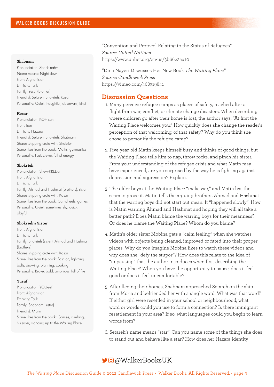#### **Shabnam**

Pronunciation: Shahb-nahm Name means: Night dew From: Afghanistan Ethnicity: Tajik Family: Yusuf (brother) Friend(s): Setareh, Shokrieh, Kosar Personality: Quiet, thoughtful, observant, kind

#### **Kosar**

Pronunciation: KOH-sahr From: Iran Ethnicity: Hazara Friend(s): Setareh, Shokrieh, Shabnam Shares shipping crate with: Shokrieh Some likes from the book: Maths, gymnastics Personality: Fast, clever, full of energy

#### **Shokrieh**

Pronunciation: Shew-KREE-ah From: Afghanistan Ethnicity: Tajik Family: Ahmad and Hashmat (brothers); sister Shares shipping crate with: Kosar Some likes from the book: Cartwheels, games Personality: Quiet, sometimes shy, quick, playful

#### **Shokrieh's Sister**

From: Afghanistan Ethnicity: Tajik Family: Shokrieh (sister); Ahmad and Hashmat (brothers) Shares shipping crate with: Kosar Some likes from the book: Fashion, lightning bolts, drawing, planning, cooking Personality: Brave, bold, ambitious, full of fire

#### **Yusuf**

Pronunciation: YOU-sef From: Afghanistan Ethnicity: Tajik Family: Shabnam (sister) Friend(s): Matin Some likes from the book: Games, climbing, his sister, standing up to the Waiting Place

"Convention and Protocol Relating to the Status of Refugees" *Source: United Nations* https://www.unhcr.org/en-us/3b66c2aa10

"Dina Nayeri Discusses Her New Book *The Waiting Place*" *Source: Candlewick Press* https://vimeo.com/468319841

### **Discussion Questions**

- 1. Many perceive refugee camps as places of safety, reached after a flight from war, conflict, or climate change disasters. When describing where children go after their home is lost, the author says, "At first the Waiting Place welcomes you." How quickly does she change the reader's perception of that welcoming, of that safety? Why do you think she chose to personify the refugee camp?
- 2. Five-year-old Matin keeps himself busy and thinks of good things, but the Waiting Place tells him to nap, throw rocks, and pinch his sister. From your understanding of the refugee crisis and what Matin may have experienced, are you surprised by the way he is fighting against depression and aggression? Explain.
- 3. The older boys at the Waiting Place "make war," and Matin has the scars to prove it. Matin tells the arguing brothers Ahmad and Hashmat that the warring boys did not start out mean. It "happened slowly". How is Matin warning Ahmad and Hashmat and hoping they will all take a better path? Does Matin blame the warring boys for their meanness? Or does he blame the Waiting Place? Whom do you blame?
- 4. Matin's older sister Mobina gets a "calm feeling" when she watches videos with objects being cleaned, improved or fitted into their proper places. Why do you imagine Mobina likes to watch these videos and why does she "defy the stupor"? How does this relate to the idea of "unpausing" that the author introduces when first describing the Waiting Place? When you have the opportunity to pause, does it feel good or does it feel uncomfortable?
- 5. After fleeing their homes, Shabnam approached Setareh on the ship from Moria and befriended her with a single word. What was that word? If either girl were resettled in your school or neighbourhood, what word or words could you use to form a connection? Is there immigrant resettlement in your area? If so, what languages could you begin to learn words from?
- 6. Setareh's name means "star". Can you name some of the things she does to stand out and behave like a star? How does her Hazara identity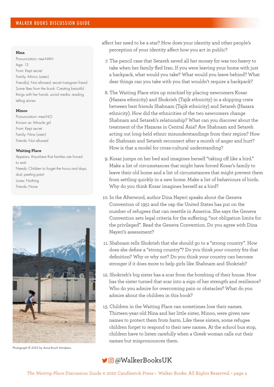#### **Nina**

Pronunciation: nee-NAH Age: 13 From: Kept secret Family: Minoo (sister) Friend(s): Not allowed; secret Instagram friend Some likes from the book: Creating beautiful things with her hands, social media, reading, telling stories

#### **Minoo**

Pronunciation: mee-NO Known as: Miracle girl From: Kept secret Family: Nina (sister) Friends: Not allowed

#### **Waiting Place**

Appears: Anywhere that families are forced to wait Needs: Children to forget the hours and days; dust; peeling paint Loves: Nothing Friends: None



Photograph © 2022 by Anna Bosch Miralpeix

- affect her need to be a star? How does your identity and other people's perception of your identity affect how you act in public?
	- 7. The pencil case that Setareh saved all her money for was too heavy to take when her family fled Iran. If you were leaving your home with just a backpack, what would you take? What would you leave behind? What dear things can you take with you that wouldn't require a backpack?
	- 8. The Waiting Place stirs up mischief by placing newcomers Kosar (Hazara ethnicity) and Shokrieh (Tajik ethnicity) in a shipping crate between best friends Shabnam (Tajik ethnicity) and Setareh (Hazara ethnicity). How did the ethnicities of the two newcomers change Shabnam and Setareh's relationship? What can you discover about the treatment of the Hazaras in Central Asia? Are Shabnam and Setareh acting out long-held ethnic misunderstandings from their region? How do Shabnam and Setareh reconnect after a month of anger and hurt? How is that a model for cross-cultural understanding?
- 9. Kosar jumps on her bed and imagines herself "taking off like a bird." Make a list of circumstances that might have forced Kosar's family to leave their old home and a list of circumstances that might prevent them from settling quickly in a new home. Make a list of behaviours of birds. Why do you think Kosar imagines herself as a bird?
- 10. In the Afterword, author Dina Nayeri speaks about the Geneva Convention of 1951 and the cap the United States has put on the number of refugees that can resettle in America. She says the Geneva Convention sets legal criteria for the suffering, "not obligation limits for the privileged". Read the Geneva Convention. Do you agree with Dina Nayeri's assessment?
- 11. Shabnam tells Shokrieh that she should go to a "strong country". How does she define a "strong country"? Do you think *your* country fits that definition? Why or why not? Do you think your country can become stronger if it does more to help girls like Shabnam and Shokrieh?
- 12. Shokrieh's big sister has a scar from the bombing of their house. How has the sister turned that scar into a sign of her strength and resilience? Who do you admire for overcoming pain or obstacles? What do you admire about the children in this book?
- 13. Children in the Waiting Place can sometimes lose their names. Thirteen-year-old Nina and her little sister, Minoo, were given new names to protect them from harm. Like these sisters, some refugee children forget to respond to their new names. At the school bus stop, children have to listen carefully when a Greek woman calls out their names but mispronounces them.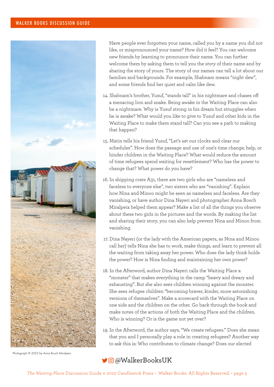## WALKER BOOKS DISCUSSION GUIDE



 Have people ever forgotten your name, called you by a name you did not like, or mispronounced your name? How did it feel? You can welcome new friends by learning to pronounce their name. You can further welcome them by asking them to tell you the *story* of their name and by sharing the story of yours. The story of our names can tell a lot about our families and backgrounds. For example, Shabnam means "night dew", and some friends find her quiet and calm like dew.

- 14. Shabnam's brother, Yusuf, "stands tall" in his nightmare and chases off a menacing lion and snake. Being awake in the Waiting Place can also be a nightmare. Why is Yusuf strong in his dream but struggles when he is awake? What would you like to give to Yusuf and other kids in the Waiting Place to make them stand tall? Can you see a path to making that happen?
- 15. Matin tells his friend Yusuf, "Let's set our clocks and clear our schedules". How does the passage and use of one's time change, help, or hinder children in the Waiting Place? What would reduce the amount of time refugees spend waiting for resettlement? Who has the power to change that? What power do you have?
- 16. In shipping crate A31, there are two girls who are "nameless and faceless to everyone else", two sisters who are "vanishing". Explain how Nina and Minoo might be seen as nameless and faceless. Are they vanishing, or have author Dina Nayeri and photographer Anna Bosch Miralpeix helped them appear? Make a list of all the things you observe about these two girls in the pictures and the words. By making the list and sharing their story, you can also help prevent Nina and Minoo from vanishing.
- 17. Dina Nayeri (or the lady with the American papers, as Nina and Minoo call her) tells Nina she has to work, make things, and learn to prevent all the waiting from taking away her power. Who does the lady think holds the power? How is Nina finding and maintaining her own power?
- 18. In the Afterword, author Dina Nayeri calls the Waiting Place a "monster" that makes everything in the camp "heavy and dreary and exhausting". But she also sees children winning against the monster. She sees refugee children "becoming braver, kinder, more astonishing versions of themselves". Make a scorecard with the Waiting Place on one side and the children on the other. Go back through the book and make notes of the actions of both the Waiting Place and the children. Who is winning? Or is the game not yet over?
- 19. In the Afterword, the author says, "We create refugees." Does she mean that you and I personally play a role in creating refugees? Another way to ask this is: Who contributes to climate change? Does our elected